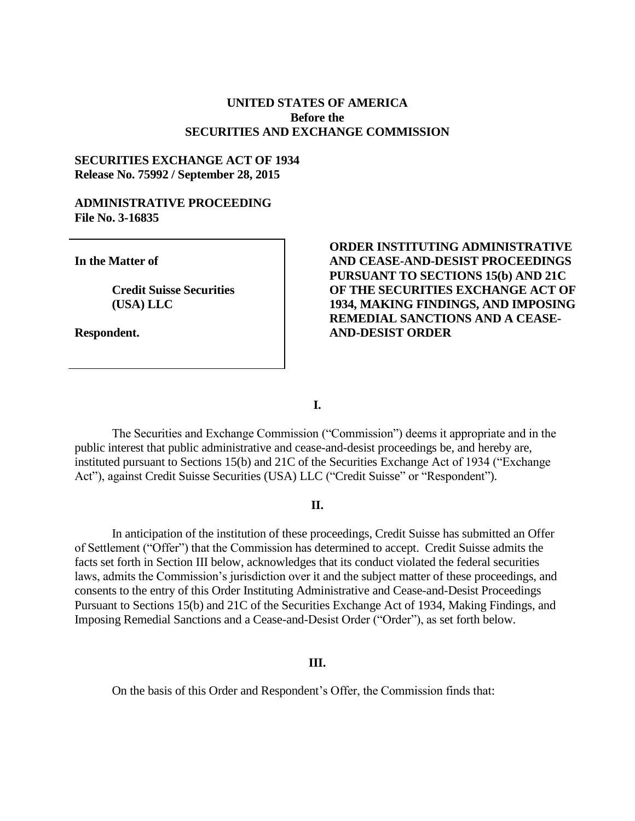## **UNITED STATES OF AMERICA Before the SECURITIES AND EXCHANGE COMMISSION**

### **SECURITIES EXCHANGE ACT OF 1934 Release No. 75992 / September 28, 2015**

#### **ADMINISTRATIVE PROCEEDING File No. 3-16835**

**In the Matter of**

**Credit Suisse Securities (USA) LLC**

**Respondent.**

## **ORDER INSTITUTING ADMINISTRATIVE AND CEASE-AND-DESIST PROCEEDINGS PURSUANT TO SECTIONS 15(b) AND 21C OF THE SECURITIES EXCHANGE ACT OF 1934, MAKING FINDINGS, AND IMPOSING REMEDIAL SANCTIONS AND A CEASE-AND-DESIST ORDER**

**I.**

The Securities and Exchange Commission ("Commission") deems it appropriate and in the public interest that public administrative and cease-and-desist proceedings be, and hereby are, instituted pursuant to Sections 15(b) and 21C of the Securities Exchange Act of 1934 ("Exchange Act"), against Credit Suisse Securities (USA) LLC ("Credit Suisse" or "Respondent").

#### **II.**

In anticipation of the institution of these proceedings, Credit Suisse has submitted an Offer of Settlement ("Offer") that the Commission has determined to accept. Credit Suisse admits the facts set forth in Section III below, acknowledges that its conduct violated the federal securities laws, admits the Commission's jurisdiction over it and the subject matter of these proceedings, and consents to the entry of this Order Instituting Administrative and Cease-and-Desist Proceedings Pursuant to Sections 15(b) and 21C of the Securities Exchange Act of 1934, Making Findings, and Imposing Remedial Sanctions and a Cease-and-Desist Order ("Order"), as set forth below.

#### **III.**

On the basis of this Order and Respondent's Offer, the Commission finds that: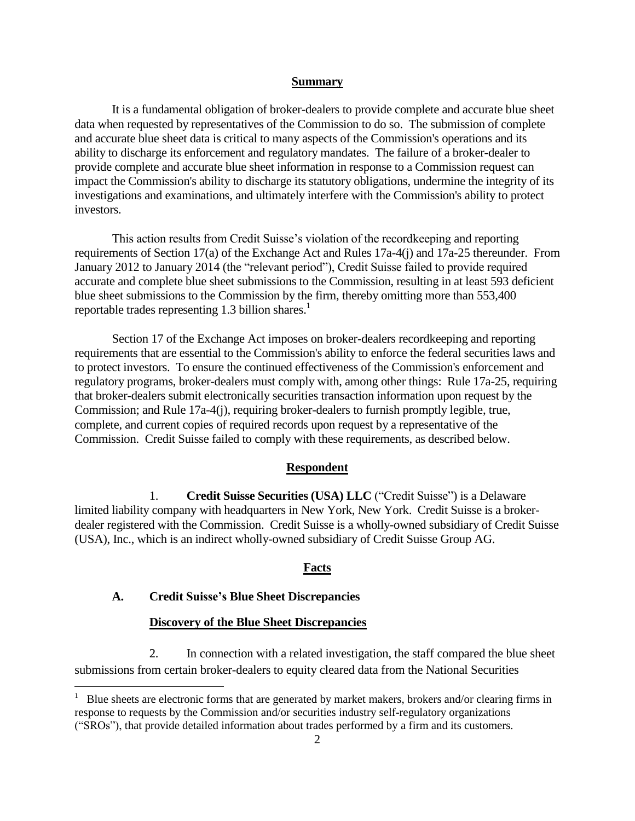#### **Summary**

It is a fundamental obligation of broker-dealers to provide complete and accurate blue sheet data when requested by representatives of the Commission to do so. The submission of complete and accurate blue sheet data is critical to many aspects of the Commission's operations and its ability to discharge its enforcement and regulatory mandates. The failure of a broker-dealer to provide complete and accurate blue sheet information in response to a Commission request can impact the Commission's ability to discharge its statutory obligations, undermine the integrity of its investigations and examinations, and ultimately interfere with the Commission's ability to protect investors.

This action results from Credit Suisse's violation of the recordkeeping and reporting requirements of Section 17(a) of the Exchange Act and Rules 17a-4(j) and 17a-25 thereunder. From January 2012 to January 2014 (the "relevant period"), Credit Suisse failed to provide required accurate and complete blue sheet submissions to the Commission, resulting in at least 593 deficient blue sheet submissions to the Commission by the firm, thereby omitting more than 553,400 reportable trades representing 1.3 billion shares.<sup>1</sup>

Section 17 of the Exchange Act imposes on broker-dealers recordkeeping and reporting requirements that are essential to the Commission's ability to enforce the federal securities laws and to protect investors. To ensure the continued effectiveness of the Commission's enforcement and regulatory programs, broker-dealers must comply with, among other things: Rule 17a-25, requiring that broker-dealers submit electronically securities transaction information upon request by the Commission; and Rule 17a-4(j), requiring broker-dealers to furnish promptly legible, true, complete, and current copies of required records upon request by a representative of the Commission. Credit Suisse failed to comply with these requirements, as described below.

### **Respondent**

1. **Credit Suisse Securities (USA) LLC** ("Credit Suisse") is a Delaware limited liability company with headquarters in New York, New York. Credit Suisse is a brokerdealer registered with the Commission. Credit Suisse is a wholly-owned subsidiary of Credit Suisse (USA), Inc., which is an indirect wholly-owned subsidiary of Credit Suisse Group AG.

#### **Facts**

### **A. Credit Suisse's Blue Sheet Discrepancies**

 $\overline{a}$ 

### **Discovery of the Blue Sheet Discrepancies**

2. In connection with a related investigation, the staff compared the blue sheet submissions from certain broker-dealers to equity cleared data from the National Securities

<sup>&</sup>lt;sup>1</sup> Blue sheets are electronic forms that are generated by market makers, brokers and/or clearing firms in response to requests by the Commission and/or securities industry self-regulatory organizations ("SROs"), that provide detailed information about trades performed by a firm and its customers.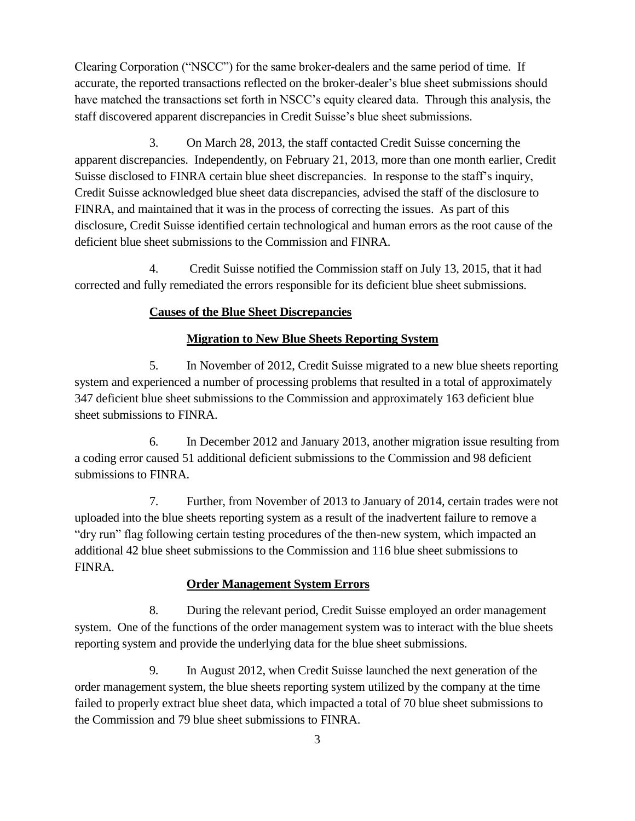Clearing Corporation ("NSCC") for the same broker-dealers and the same period of time. If accurate, the reported transactions reflected on the broker-dealer's blue sheet submissions should have matched the transactions set forth in NSCC's equity cleared data. Through this analysis, the staff discovered apparent discrepancies in Credit Suisse's blue sheet submissions.

3. On March 28, 2013, the staff contacted Credit Suisse concerning the apparent discrepancies. Independently, on February 21, 2013, more than one month earlier, Credit Suisse disclosed to FINRA certain blue sheet discrepancies. In response to the staff's inquiry, Credit Suisse acknowledged blue sheet data discrepancies, advised the staff of the disclosure to FINRA, and maintained that it was in the process of correcting the issues. As part of this disclosure, Credit Suisse identified certain technological and human errors as the root cause of the deficient blue sheet submissions to the Commission and FINRA.

4. Credit Suisse notified the Commission staff on July 13, 2015, that it had corrected and fully remediated the errors responsible for its deficient blue sheet submissions.

# **Causes of the Blue Sheet Discrepancies**

# **Migration to New Blue Sheets Reporting System**

5. In November of 2012, Credit Suisse migrated to a new blue sheets reporting system and experienced a number of processing problems that resulted in a total of approximately 347 deficient blue sheet submissions to the Commission and approximately 163 deficient blue sheet submissions to FINRA.

6. In December 2012 and January 2013, another migration issue resulting from a coding error caused 51 additional deficient submissions to the Commission and 98 deficient submissions to FINRA.

7. Further, from November of 2013 to January of 2014, certain trades were not uploaded into the blue sheets reporting system as a result of the inadvertent failure to remove a "dry run" flag following certain testing procedures of the then-new system, which impacted an additional 42 blue sheet submissions to the Commission and 116 blue sheet submissions to FINRA.

# **Order Management System Errors**

8. During the relevant period, Credit Suisse employed an order management system. One of the functions of the order management system was to interact with the blue sheets reporting system and provide the underlying data for the blue sheet submissions.

9. In August 2012, when Credit Suisse launched the next generation of the order management system, the blue sheets reporting system utilized by the company at the time failed to properly extract blue sheet data, which impacted a total of 70 blue sheet submissions to the Commission and 79 blue sheet submissions to FINRA.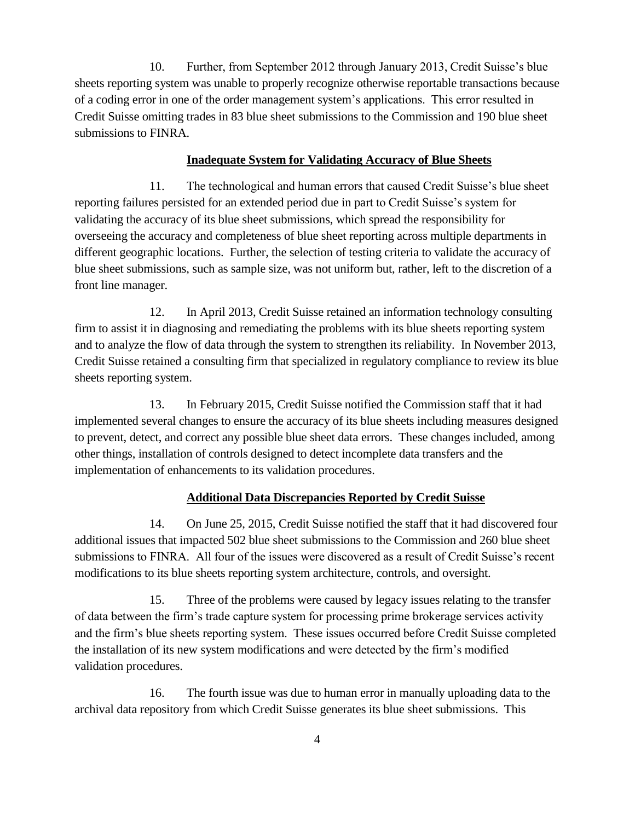10. Further, from September 2012 through January 2013, Credit Suisse's blue sheets reporting system was unable to properly recognize otherwise reportable transactions because of a coding error in one of the order management system's applications. This error resulted in Credit Suisse omitting trades in 83 blue sheet submissions to the Commission and 190 blue sheet submissions to FINRA.

### **Inadequate System for Validating Accuracy of Blue Sheets**

11. The technological and human errors that caused Credit Suisse's blue sheet reporting failures persisted for an extended period due in part to Credit Suisse's system for validating the accuracy of its blue sheet submissions, which spread the responsibility for overseeing the accuracy and completeness of blue sheet reporting across multiple departments in different geographic locations. Further, the selection of testing criteria to validate the accuracy of blue sheet submissions, such as sample size, was not uniform but, rather, left to the discretion of a front line manager.

12. In April 2013, Credit Suisse retained an information technology consulting firm to assist it in diagnosing and remediating the problems with its blue sheets reporting system and to analyze the flow of data through the system to strengthen its reliability. In November 2013, Credit Suisse retained a consulting firm that specialized in regulatory compliance to review its blue sheets reporting system.

13. In February 2015, Credit Suisse notified the Commission staff that it had implemented several changes to ensure the accuracy of its blue sheets including measures designed to prevent, detect, and correct any possible blue sheet data errors. These changes included, among other things, installation of controls designed to detect incomplete data transfers and the implementation of enhancements to its validation procedures.

## **Additional Data Discrepancies Reported by Credit Suisse**

14. On June 25, 2015, Credit Suisse notified the staff that it had discovered four additional issues that impacted 502 blue sheet submissions to the Commission and 260 blue sheet submissions to FINRA. All four of the issues were discovered as a result of Credit Suisse's recent modifications to its blue sheets reporting system architecture, controls, and oversight.

15. Three of the problems were caused by legacy issues relating to the transfer of data between the firm's trade capture system for processing prime brokerage services activity and the firm's blue sheets reporting system. These issues occurred before Credit Suisse completed the installation of its new system modifications and were detected by the firm's modified validation procedures.

16. The fourth issue was due to human error in manually uploading data to the archival data repository from which Credit Suisse generates its blue sheet submissions. This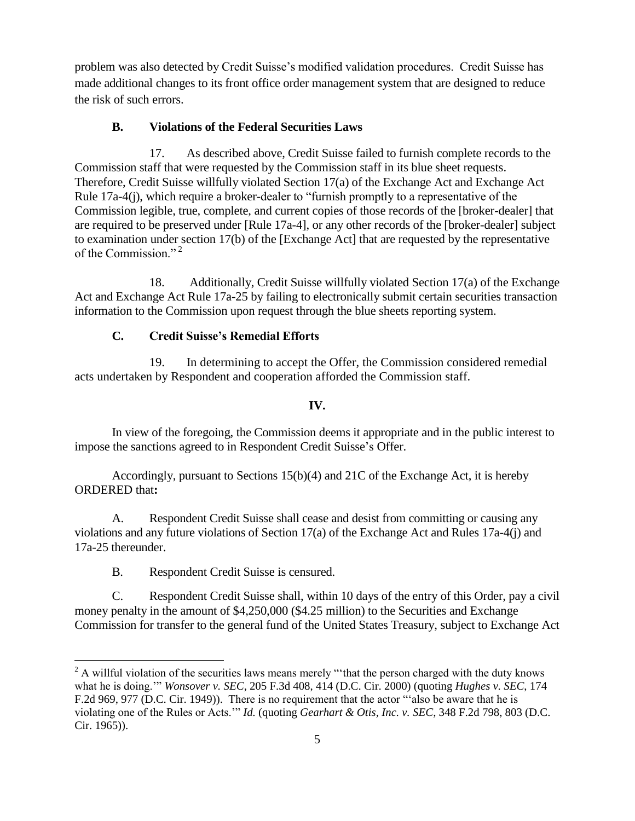problem was also detected by Credit Suisse's modified validation procedures. Credit Suisse has made additional changes to its front office order management system that are designed to reduce the risk of such errors.

# **B. Violations of the Federal Securities Laws**

17. As described above, Credit Suisse failed to furnish complete records to the Commission staff that were requested by the Commission staff in its blue sheet requests. Therefore, Credit Suisse willfully violated Section 17(a) of the Exchange Act and Exchange Act Rule 17a-4(j), which require a broker-dealer to "furnish promptly to a representative of the Commission legible, true, complete, and current copies of those records of the [broker-dealer] that are required to be preserved under [Rule 17a-4], or any other records of the [broker-dealer] subject to examination under section 17(b) of the [Exchange Act] that are requested by the representative of the Commission."<sup>2</sup>

18. Additionally, Credit Suisse willfully violated Section 17(a) of the Exchange Act and Exchange Act Rule 17a-25 by failing to electronically submit certain securities transaction information to the Commission upon request through the blue sheets reporting system.

# **C. Credit Suisse's Remedial Efforts**

19. In determining to accept the Offer, the Commission considered remedial acts undertaken by Respondent and cooperation afforded the Commission staff.

# **IV.**

In view of the foregoing, the Commission deems it appropriate and in the public interest to impose the sanctions agreed to in Respondent Credit Suisse's Offer.

Accordingly, pursuant to Sections 15(b)(4) and 21C of the Exchange Act, it is hereby ORDERED that**:**

A. Respondent Credit Suisse shall cease and desist from committing or causing any violations and any future violations of Section 17(a) of the Exchange Act and Rules 17a-4(j) and 17a-25 thereunder.

B. Respondent Credit Suisse is censured.

C. Respondent Credit Suisse shall, within 10 days of the entry of this Order, pay a civil money penalty in the amount of \$4,250,000 (\$4.25 million) to the Securities and Exchange Commission for transfer to the general fund of the United States Treasury, subject to Exchange Act

 $\overline{a}$ <sup>2</sup> A willful violation of the securities laws means merely "that the person charged with the duty knows what he is doing.'" *Wonsover v. SEC*, 205 F.3d 408, 414 (D.C. Cir. 2000) (quoting *Hughes v. SEC*, 174 F.2d 969, 977 (D.C. Cir. 1949)). There is no requirement that the actor "'also be aware that he is violating one of the Rules or Acts.'" *Id.* (quoting *Gearhart & Otis, Inc. v. SEC*, 348 F.2d 798, 803 (D.C. Cir. 1965)).